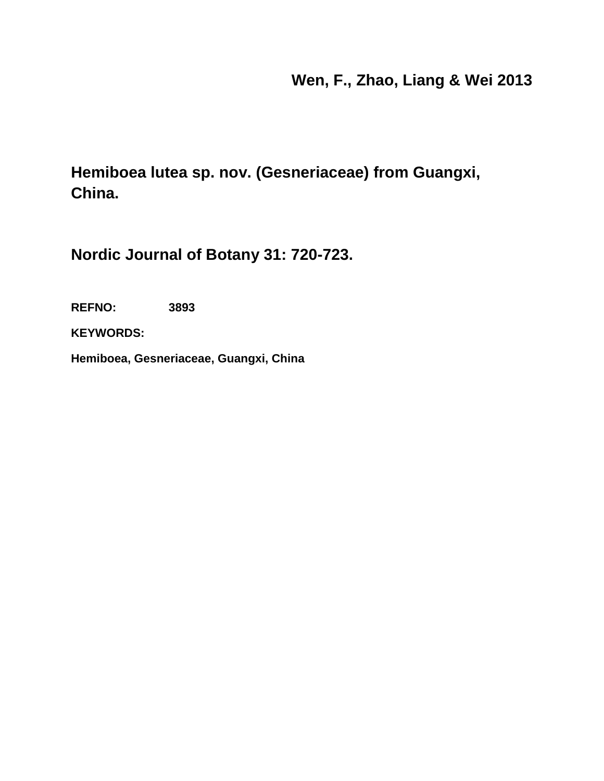# **Wen, F., Zhao, Liang & Wei 2013**

**Hemiboea lutea sp. nov. (Gesneriaceae) from Guangxi, China.**

**Nordic Journal of Botany 31: 720-723.**

**REFNO: 3893**

**KEYWORDS:**

**Hemiboea, Gesneriaceae, Guangxi, China**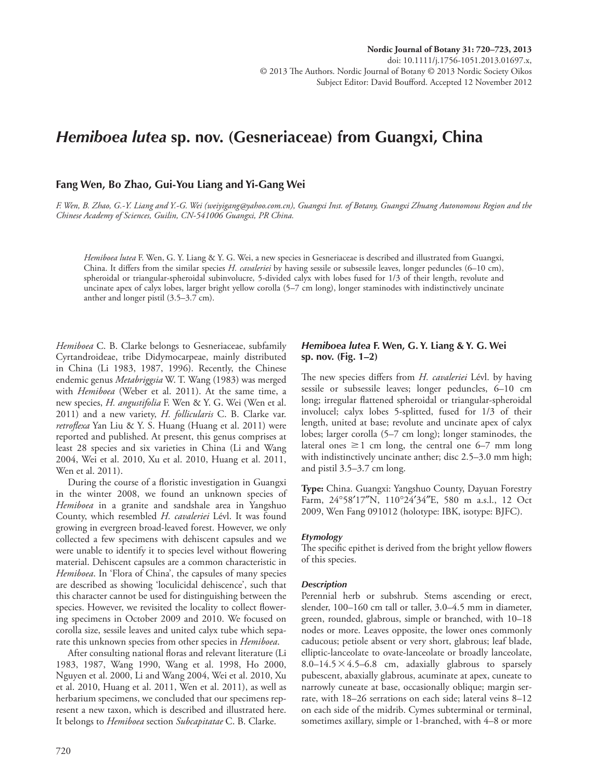## *Hemiboea lutea* **sp. nov. (Gesneriaceae) from Guangxi, China**

#### Fang Wen, Bo Zhao, Gui-You Liang and Yi-Gang Wei

 *F. Wen, B. Zhao, G.-Y. Liang and Y.-G. Wei (weiyigang@yahoo.com.cn), Guangxi Inst. of Botany, Guangxi Zhuang Autonomous Region and the Chinese Academy of Sciences, Guilin, CN-541006 Guangxi, PR China.* 

*Hemiboea lutea* F. Wen, G. Y. Liang & Y. G. Wei, a new species in Gesneriaceae is described and illustrated from Guangxi, China. It differs from the similar species *H. cavaleriei* by having sessile or subsessile leaves, longer peduncles (6–10 cm), spheroidal or triangular-spheroidal subinvolucre, 5-divided calyx with lobes fused for 1/3 of their length, revolute and uncinate apex of calyx lobes, larger bright yellow corolla (5–7 cm long), longer staminodes with indistinctively uncinate anther and longer pistil (3.5–3.7 cm).

*Hemiboea* C. B. Clarke belongs to Gesneriaceae, subfamily Cyrtandroideae, tribe Didymocarpeae, mainly distributed in China (Li 1983, 1987, 1996). Recently, the Chinese endemic genus *Metabriggsia* W. T. Wang (1983) was merged with *Hemiboea* (Weber et al. 2011). At the same time, a new species, *H. angustifolia* F. Wen & Y. G. Wei (Wen et al. 2011) and a new variety, *H. follicularis* C. B. Clarke var. *retroflexa* Yan Liu & Y. S. Huang (Huang et al. 2011) were reported and published. At present, this genus comprises at least 28 species and six varieties in China (Li and Wang 2004, Wei et al. 2010, Xu et al. 2010, Huang et al. 2011, Wen et al. 2011).

During the course of a floristic investigation in Guangxi in the winter 2008, we found an unknown species of *Hemiboea* in a granite and sandshale area in Yangshuo County, which resembled *H. cavaleriei* Lévl. It was found growing in evergreen broad-leaved forest. However, we only collected a few specimens with dehiscent capsules and we were unable to identify it to species level without flowering material. Dehiscent capsules are a common characteristic in *Hemiboea*. In 'Flora of China', the capsules of many species are described as showing 'loculicidal dehiscence', such that this character cannot be used for distinguishing between the species. However, we revisited the locality to collect flowering specimens in October 2009 and 2010. We focused on corolla size, sessile leaves and united calyx tube which separate this unknown species from other species in *Hemiboea* .

After consulting national floras and relevant literature (Li 1983, 1987, Wang 1990, Wang et al. 1998, Ho 2000, Nguyen et al. 2000, Li and Wang 2004, Wei et al. 2010, Xu et al. 2010, Huang et al. 2011, Wen et al. 2011), as well as herbarium specimens, we concluded that our specimens represent a new taxon, which is described and illustrated here. It belongs to *Hemiboea* section *Subcapitatae* C. B. Clarke.

## *Hemiboea lutea* F. Wen, G. Y. Liang & Y. G. Wei **sp. nov. (Fig. 1 – 2)**

The new species differs from *H. cavaleriei* Lévl. by having sessile or subsessile leaves; longer peduncles, 6-10 cm long; irregular flattened spheroidal or triangular-spheroidal involucel; calyx lobes 5-splitted, fused for 1/3 of their length, united at base; revolute and uncinate apex of calyx lobes; larger corolla  $(5-7 \text{ cm long})$ ; longer staminodes, the lateral ones  $\geq 1$  cm long, the central one 6–7 mm long with indistinctively uncinate anther; disc 2.5–3.0 mm high; and pistil  $3.5-3.7$  cm long.

**Type:** China. Guangxi: Yangshuo County, Dayuan Forestry Farm, 24°58'17"N, 110°24'34"E, 580 m a.s.l., 12 Oct 2009, Wen Fang 091012 (holotype: IBK, isotype: BJFC).

#### *Etymology*

The specific epithet is derived from the bright yellow flowers of this species.

#### *Description*

 Perennial herb or subshrub. Stems ascending or erect, slender, 100-160 cm tall or taller, 3.0-4.5 mm in diameter, green, rounded, glabrous, simple or branched, with  $10-18$ nodes or more. Leaves opposite, the lower ones commonly caducous; petiole absent or very short, glabrous; leaf blade, elliptic-lanceolate to ovate-lanceolate or broadly lanceolate, 8.0-14.5  $\times$  4.5-6.8 cm, adaxially glabrous to sparsely pubescent, abaxially glabrous, acuminate at apex, cuneate to narrowly cuneate at base, occasionally oblique; margin serrate, with 18-26 serrations on each side; lateral veins 8-12 on each side of the midrib. Cymes subterminal or terminal, sometimes axillary, simple or 1-branched, with 4-8 or more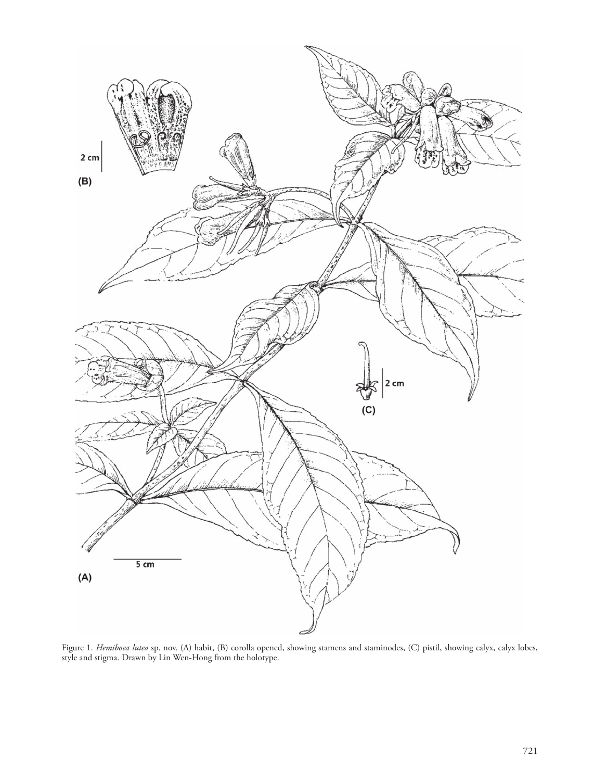

 Figure 1. *Hemiboea lutea* sp. nov. (A) habit, (B) corolla opened, showing stamens and staminodes, (C) pistil, showing calyx, calyx lobes, style and stigma. Drawn by Lin Wen-Hong from the holotype.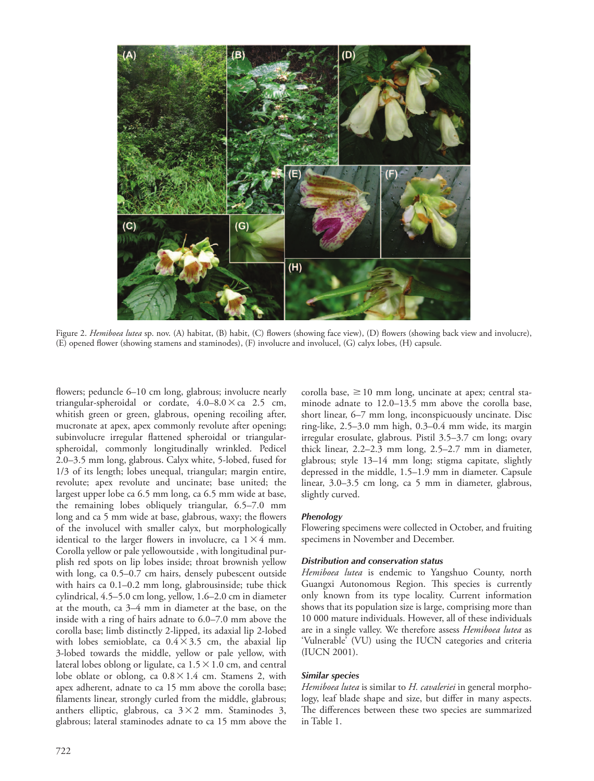

Figure 2. *Hemiboea lutea* sp. nov. (A) habitat, (B) habit, (C) flowers (showing face view), (D) flowers (showing back view and involucre), (E) opened flower (showing stamens and staminodes), (F) involucre and involucel, (G) calyx lobes, (H) capsule.

flowers; peduncle 6-10 cm long, glabrous; involucre nearly triangular-spheroidal or cordate,  $4.0-8.0 \times$  ca 2.5 cm, whitish green or green, glabrous, opening recoiling after, mucronate at apex, apex commonly revolute after opening; subinvolucre irregular flattened spheroidal or triangularspheroidal, commonly longitudinally wrinkled. Pedicel 2.0-3.5 mm long, glabrous. Calyx white, 5-lobed, fused for 1/3 of its length; lobes unequal, triangular; margin entire, revolute; apex revolute and uncinate; base united; the largest upper lobe ca 6.5 mm long, ca 6.5 mm wide at base, the remaining lobes obliquely triangular, 6.5-7.0 mm long and ca 5 mm wide at base, glabrous, waxy; the flowers of the involucel with smaller calyx, but morphologically identical to the larger flowers in involucre, ca  $1 \times 4$  mm. Corolla yellow or pale yellowoutside , with longitudinal purplish red spots on lip lobes inside; throat brownish yellow with long, ca 0.5-0.7 cm hairs, densely pubescent outside with hairs ca  $0.1 - 0.2$  mm long, glabrousinside; tube thick cylindrical, 4.5–5.0 cm long, yellow, 1.6–2.0 cm in diameter at the mouth, ca 3-4 mm in diameter at the base, on the inside with a ring of hairs adnate to  $6.0-7.0$  mm above the corolla base; limb distinctly 2-lipped, its adaxial lip 2-lobed with lobes semioblate, ca  $0.4 \times 3.5$  cm, the abaxial lip 3-lobed towards the middle, yellow or pale yellow, with lateral lobes oblong or ligulate, ca  $1.5 \times 1.0$  cm, and central lobe oblate or oblong, ca  $0.8 \times 1.4$  cm. Stamens 2, with apex adherent, adnate to ca 15 mm above the corolla base; filaments linear, strongly curled from the middle, glabrous; anthers elliptic, glabrous, ca  $3 \times 2$  mm. Staminodes 3, glabrous; lateral staminodes adnate to ca 15 mm above the

corolla base,  $\geq 10$  mm long, uncinate at apex; central staminode adnate to 12.0-13.5 mm above the corolla base, short linear, 6-7 mm long, inconspicuously uncinate. Disc ring-like,  $2.5-3.0$  mm high,  $0.3-0.4$  mm wide, its margin irregular erosulate, glabrous. Pistil 3.5-3.7 cm long; ovary thick linear,  $2.2-2.3$  mm long,  $2.5-2.7$  mm in diameter, glabrous; style 13-14 mm long; stigma capitate, slightly depressed in the middle, 1.5-1.9 mm in diameter. Capsule linear, 3.0-3.5 cm long, ca 5 mm in diameter, glabrous, slightly curved.

#### *Phenology*

 Flowering specimens were collected in October, and fruiting specimens in November and December.

#### *Distribution and conservation status*

*Hemiboea lutea* is endemic to Yangshuo County, north Guangxi Autonomous Region. This species is currently only known from its type locality. Current information shows that its population size is large, comprising more than 10 000 mature individuals. However, all of these individuals are in a single valley. We therefore assess *Hemiboea lutea* as 'Vulnerable' (VU) using the IUCN categories and criteria (IUCN 2001).

#### *Similar species*

*Hemiboea lutea* is similar to *H. cavaleriei* in general morphology, leaf blade shape and size, but differ in many aspects. The differences between these two species are summarized in Table 1.